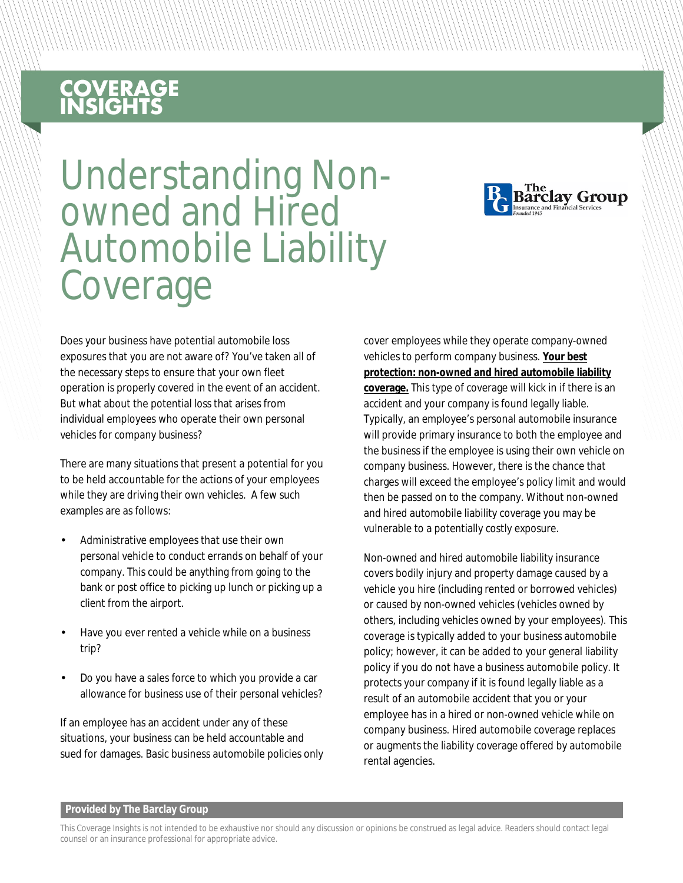## **COVERAGE**<br>INSIGHTS

# Understanding Non- owned and Hired Automobile Liability **Coverage**



Does your business have potential automobile loss exposures that you are not aware of? You've taken all of the necessary steps to ensure that your own fleet operation is properly covered in the event of an accident. But what about the potential loss that arises from individual employees who operate their own personal vehicles for company business?

There are many situations that present a potential for you to be held accountable for the actions of your employees while they are driving their own vehicles. A few such examples are as follows:

- Administrative employees that use their own personal vehicle to conduct errands on behalf of your company. This could be anything from going to the bank or post office to picking up lunch or picking up a client from the airport.
- Have you ever rented a vehicle while on a business trip?
- Do you have a sales force to which you provide a car allowance for business use of their personal vehicles?

If an employee has an accident under any of these situations, your business can be held accountable and sued for damages. Basic business automobile policies only cover employees while they operate company-owned vehicles to perform company business. **Your best protection: non-owned and hired automobile liability coverage.** This type of coverage will kick in if there is an accident and your company is found legally liable. Typically, an employee's personal automobile insurance will provide primary insurance to both the employee and the business if the employee is using their own vehicle on company business. However, there is the chance that charges will exceed the employee's policy limit and would then be passed on to the company. Without non-owned and hired automobile liability coverage you may be vulnerable to a potentially costly exposure.

Non-owned and hired automobile liability insurance covers bodily injury and property damage caused by a vehicle you hire (including rented or borrowed vehicles) or caused by non-owned vehicles (vehicles owned by others, including vehicles owned by your employees). This coverage is typically added to your business automobile policy; however, it can be added to your general liability policy if you do not have a business automobile policy. It protects your company if it is found legally liable as a result of an automobile accident that you or your employee has in a hired or non-owned vehicle while on company business. Hired automobile coverage replaces or augments the liability coverage offered by automobile rental agencies.

#### **Provided by The Barclay Group**

This Coverage Insights is not intended to be exhaustive nor should any discussion or opinions be construed as legal advice. Readers should contact legal counsel or an insurance professional for appropriate advice.